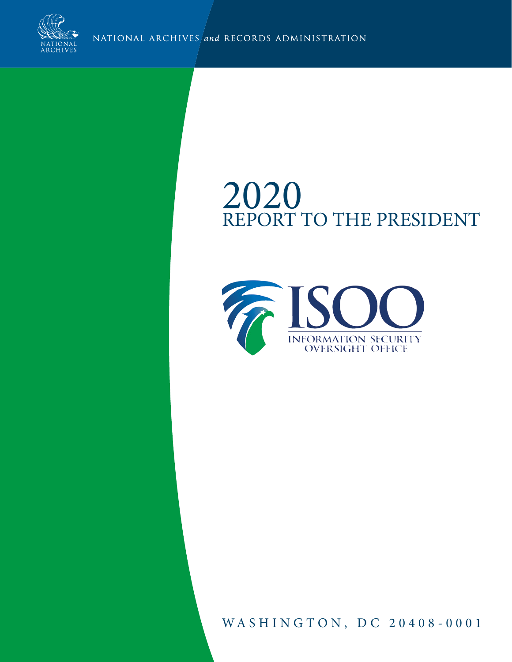

NATIONAL ARCHIVES and RECORDS ADMINISTRATION

# 2020 REPORT TO THE PRESIDENT



WASHINGTON, DC 20408-0001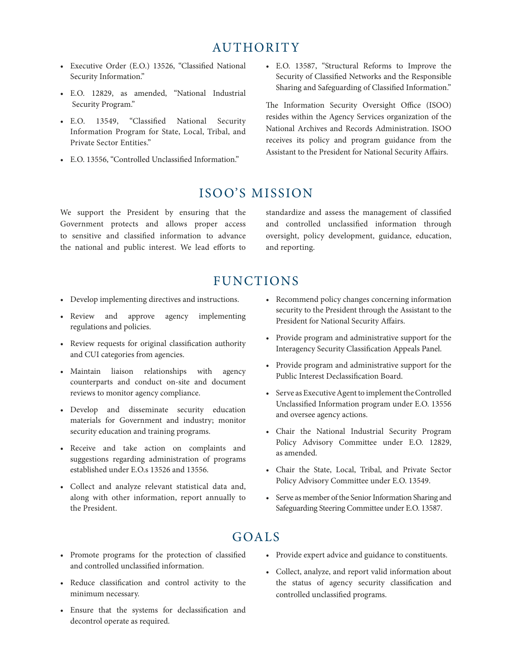## AUTHORITY

- Executive Order (E.O.) 13526, "Classified National Security Information."
- E.O. 12829, as amended, "National Industrial Security Program."
- E.O. 13549, "Classified National Security Information Program for State, Local, Tribal, and Private Sector Entities."
- E.O. 13556, "Controlled Unclassified Information."

• E.O. 13587, "Structural Reforms to Improve the Security of Classified Networks and the Responsible Sharing and Safeguarding of Classified Information."

The Information Security Oversight Office (ISOO) resides within the Agency Services organization of the National Archives and Records Administration. ISOO receives its policy and program guidance from the Assistant to the President for National Security Affairs.

### ISOO'S MISSION

We support the President by ensuring that the Government protects and allows proper access to sensitive and classified information to advance the national and public interest. We lead efforts to

standardize and assess the management of classified and controlled unclassified information through oversight, policy development, guidance, education, and reporting.

## FUNCTIONS

- Develop implementing directives and instructions.
- Review and approve agency implementing regulations and policies.
- Review requests for original classification authority and CUI categories from agencies.
- Maintain liaison relationships with agency counterparts and conduct on-site and document reviews to monitor agency compliance.
- Develop and disseminate security education materials for Government and industry; monitor security education and training programs.
- Receive and take action on complaints and suggestions regarding administration of programs established under E.O.s 13526 and 13556.
- Collect and analyze relevant statistical data and, along with other information, report annually to the President.
- Recommend policy changes concerning information security to the President through the Assistant to the President for National Security Affairs.
- Provide program and administrative support for the Interagency Security Classification Appeals Panel.
- Provide program and administrative support for the Public Interest Declassification Board.
- Serve as Executive Agent to implement the Controlled Unclassified Information program under E.O. 13556 and oversee agency actions.
- Chair the National Industrial Security Program Policy Advisory Committee under E.O. 12829, as amended.
- Chair the State, Local, Tribal, and Private Sector Policy Advisory Committee under E.O. 13549.
- Serve as member of the Senior Information Sharing and Safeguarding Steering Committee under E.O. 13587.

## GOALS

- Promote programs for the protection of classified and controlled unclassified information.
- Reduce classification and control activity to the minimum necessary.
- Ensure that the systems for declassification and decontrol operate as required.
- Provide expert advice and guidance to constituents.
- Collect, analyze, and report valid information about the status of agency security classification and controlled unclassified programs.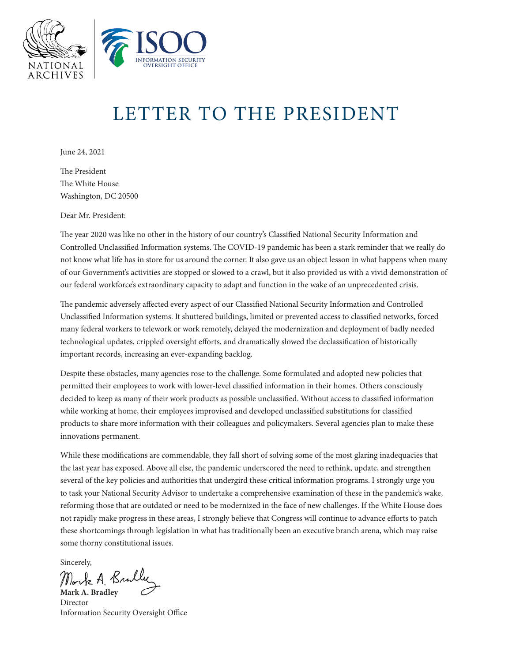

# LETTER TO THE PRESIDENT

June 24, 2021

The President The White House Washington, DC 20500

Dear Mr. President:

The year 2020 was like no other in the history of our country's Classified National Security Information and Controlled Unclassified Information systems. The COVID-19 pandemic has been a stark reminder that we really do not know what life has in store for us around the corner. It also gave us an object lesson in what happens when many of our Government's activities are stopped or slowed to a crawl, but it also provided us with a vivid demonstration of our federal workforce's extraordinary capacity to adapt and function in the wake of an unprecedented crisis.

The pandemic adversely affected every aspect of our Classified National Security Information and Controlled Unclassified Information systems. It shuttered buildings, limited or prevented access to classified networks, forced many federal workers to telework or work remotely, delayed the modernization and deployment of badly needed technological updates, crippled oversight efforts, and dramatically slowed the declassification of historically important records, increasing an ever-expanding backlog.

Despite these obstacles, many agencies rose to the challenge. Some formulated and adopted new policies that permitted their employees to work with lower-level classified information in their homes. Others consciously decided to keep as many of their work products as possible unclassified. Without access to classified information while working at home, their employees improvised and developed unclassified substitutions for classified products to share more information with their colleagues and policymakers. Several agencies plan to make these innovations permanent.

While these modifications are commendable, they fall short of solving some of the most glaring inadequacies that the last year has exposed. Above all else, the pandemic underscored the need to rethink, update, and strengthen several of the key policies and authorities that undergird these critical information programs. I strongly urge you to task your National Security Advisor to undertake a comprehensive examination of these in the pandemic's wake, reforming those that are outdated or need to be modernized in the face of new challenges. If the White House does not rapidly make progress in these areas, I strongly believe that Congress will continue to advance efforts to patch these shortcomings through legislation in what has traditionally been an executive branch arena, which may raise some thorny constitutional issues.

Sincerely,

**Mark A. Bradley**

Director Information Security Oversight Office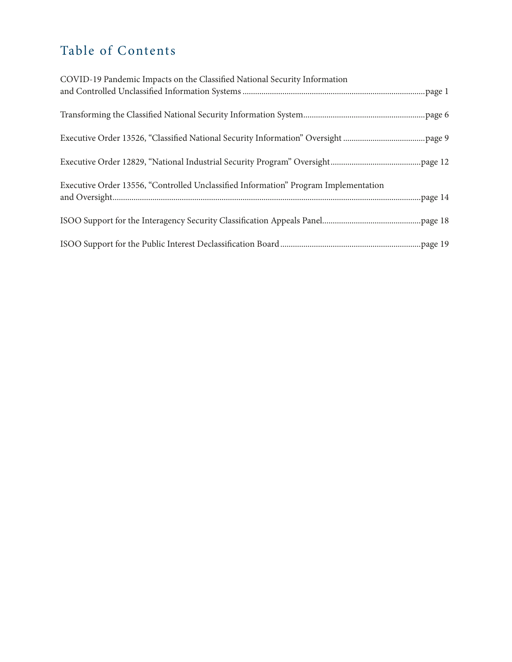## Table of Contents

| COVID-19 Pandemic Impacts on the Classified National Security Information           |
|-------------------------------------------------------------------------------------|
|                                                                                     |
|                                                                                     |
|                                                                                     |
|                                                                                     |
| Executive Order 13556, "Controlled Unclassified Information" Program Implementation |
|                                                                                     |
|                                                                                     |
|                                                                                     |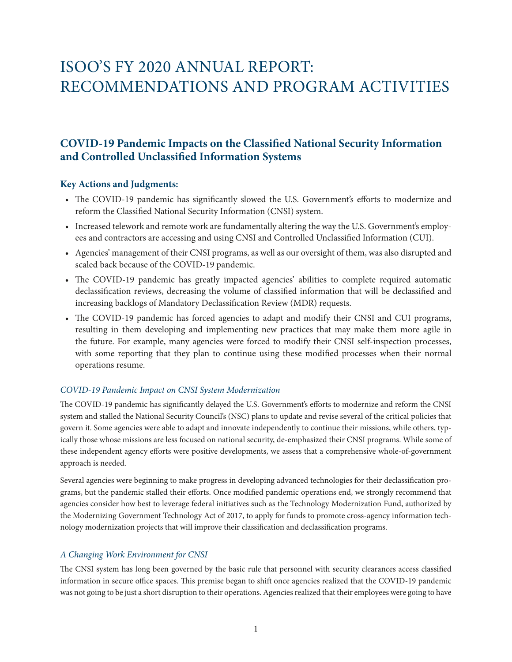## <span id="page-7-0"></span>ISOO'S FY 2020 ANNUAL REPORT: RECOMMENDATIONS AND PROGRAM ACTIVITIES

### **COVID-19 Pandemic Impacts on the Classified National Security Information and Controlled Unclassified Information Systems**

#### **Key Actions and Judgments:**

- The COVID-19 pandemic has significantly slowed the U.S. Government's efforts to modernize and reform the Classified National Security Information (CNSI) system.
- Increased telework and remote work are fundamentally altering the way the U.S. Government's employees and contractors are accessing and using CNSI and Controlled Unclassified Information (CUI).
- Agencies' management of their CNSI programs, as well as our oversight of them, was also disrupted and scaled back because of the COVID-19 pandemic.
- The COVID-19 pandemic has greatly impacted agencies' abilities to complete required automatic declassification reviews, decreasing the volume of classified information that will be declassified and increasing backlogs of Mandatory Declassification Review (MDR) requests.
- The COVID-19 pandemic has forced agencies to adapt and modify their CNSI and CUI programs, resulting in them developing and implementing new practices that may make them more agile in the future. For example, many agencies were forced to modify their CNSI self-inspection processes, with some reporting that they plan to continue using these modified processes when their normal operations resume.

#### *COVID-19 Pandemic Impact on CNSI System Modernization*

The COVID-19 pandemic has significantly delayed the U.S. Government's efforts to modernize and reform the CNSI system and stalled the National Security Council's (NSC) plans to update and revise several of the critical policies that govern it. Some agencies were able to adapt and innovate independently to continue their missions, while others, typically those whose missions are less focused on national security, de-emphasized their CNSI programs. While some of these independent agency efforts were positive developments, we assess that a comprehensive whole-of-government approach is needed.

Several agencies were beginning to make progress in developing advanced technologies for their declassification programs, but the pandemic stalled their efforts. Once modified pandemic operations end, we strongly recommend that agencies consider how best to leverage federal initiatives such as the Technology Modernization Fund, authorized by the Modernizing Government Technology Act of 2017, to apply for funds to promote cross-agency information technology modernization projects that will improve their classification and declassification programs.

#### *A Changing Work Environment for CNSI*

The CNSI system has long been governed by the basic rule that personnel with security clearances access classified information in secure office spaces. This premise began to shift once agencies realized that the COVID-19 pandemic was not going to be just a short disruption to their operations. Agencies realized that their employees were going to have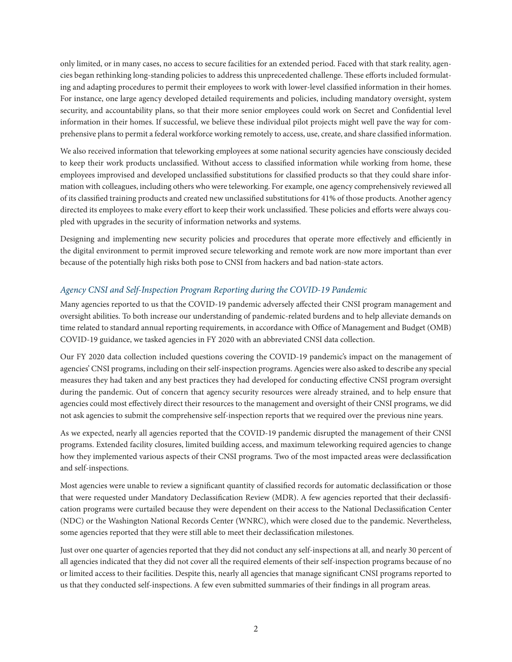only limited, or in many cases, no access to secure facilities for an extended period. Faced with that stark reality, agencies began rethinking long-standing policies to address this unprecedented challenge. These efforts included formulating and adapting procedures to permit their employees to work with lower-level classified information in their homes. For instance, one large agency developed detailed requirements and policies, including mandatory oversight, system security, and accountability plans, so that their more senior employees could work on Secret and Confidential level information in their homes. If successful, we believe these individual pilot projects might well pave the way for comprehensive plans to permit a federal workforce working remotely to access, use, create, and share classified information.

We also received information that teleworking employees at some national security agencies have consciously decided to keep their work products unclassified. Without access to classified information while working from home, these employees improvised and developed unclassified substitutions for classified products so that they could share information with colleagues, including others who were teleworking. For example, one agency comprehensively reviewed all of its classified training products and created new unclassified substitutions for 41% of those products. Another agency directed its employees to make every effort to keep their work unclassified. These policies and efforts were always coupled with upgrades in the security of information networks and systems.

Designing and implementing new security policies and procedures that operate more effectively and efficiently in the digital environment to permit improved secure teleworking and remote work are now more important than ever because of the potentially high risks both pose to CNSI from hackers and bad nation-state actors.

#### *Agency CNSI and Self-Inspection Program Reporting during the COVID-19 Pandemic*

Many agencies reported to us that the COVID-19 pandemic adversely affected their CNSI program management and oversight abilities. To both increase our understanding of pandemic-related burdens and to help alleviate demands on time related to standard annual reporting requirements, in accordance with Office of Management and Budget (OMB) COVID-19 guidance, we tasked agencies in FY 2020 with an abbreviated CNSI data collection.

Our FY 2020 data collection included questions covering the COVID-19 pandemic's impact on the management of agencies' CNSI programs, including on their self-inspection programs. Agencies were also asked to describe any special measures they had taken and any best practices they had developed for conducting effective CNSI program oversight during the pandemic. Out of concern that agency security resources were already strained, and to help ensure that agencies could most effectively direct their resources to the management and oversight of their CNSI programs, we did not ask agencies to submit the comprehensive self-inspection reports that we required over the previous nine years.

As we expected, nearly all agencies reported that the COVID-19 pandemic disrupted the management of their CNSI programs. Extended facility closures, limited building access, and maximum teleworking required agencies to change how they implemented various aspects of their CNSI programs. Two of the most impacted areas were declassification and self-inspections.

Most agencies were unable to review a significant quantity of classified records for automatic declassification or those that were requested under Mandatory Declassification Review (MDR). A few agencies reported that their declassification programs were curtailed because they were dependent on their access to the National Declassification Center (NDC) or the Washington National Records Center (WNRC), which were closed due to the pandemic. Nevertheless, some agencies reported that they were still able to meet their declassification milestones.

Just over one quarter of agencies reported that they did not conduct any self-inspections at all, and nearly 30 percent of all agencies indicated that they did not cover all the required elements of their self-inspection programs because of no or limited access to their facilities. Despite this, nearly all agencies that manage significant CNSI programs reported to us that they conducted self-inspections. A few even submitted summaries of their findings in all program areas.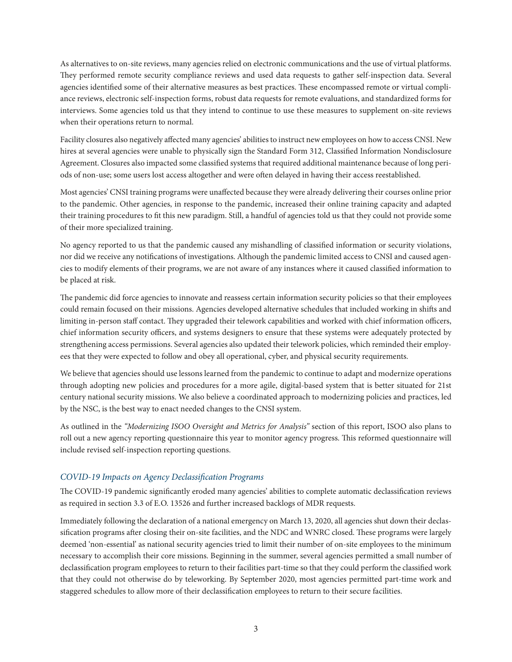As alternatives to on-site reviews, many agencies relied on electronic communications and the use of virtual platforms. They performed remote security compliance reviews and used data requests to gather self-inspection data. Several agencies identified some of their alternative measures as best practices. These encompassed remote or virtual compliance reviews, electronic self-inspection forms, robust data requests for remote evaluations, and standardized forms for interviews. Some agencies told us that they intend to continue to use these measures to supplement on-site reviews when their operations return to normal.

Facility closures also negatively affected many agencies' abilities to instruct new employees on how to access CNSI. New hires at several agencies were unable to physically sign the Standard Form 312, Classified Information Nondisclosure Agreement. Closures also impacted some classified systems that required additional maintenance because of long periods of non-use; some users lost access altogether and were often delayed in having their access reestablished.

Most agencies' CNSI training programs were unaffected because they were already delivering their courses online prior to the pandemic. Other agencies, in response to the pandemic, increased their online training capacity and adapted their training procedures to fit this new paradigm. Still, a handful of agencies told us that they could not provide some of their more specialized training.

No agency reported to us that the pandemic caused any mishandling of classified information or security violations, nor did we receive any notifications of investigations. Although the pandemic limited access to CNSI and caused agencies to modify elements of their programs, we are not aware of any instances where it caused classified information to be placed at risk.

The pandemic did force agencies to innovate and reassess certain information security policies so that their employees could remain focused on their missions. Agencies developed alternative schedules that included working in shifts and limiting in-person staff contact. They upgraded their telework capabilities and worked with chief information officers, chief information security officers, and systems designers to ensure that these systems were adequately protected by strengthening access permissions. Several agencies also updated their telework policies, which reminded their employees that they were expected to follow and obey all operational, cyber, and physical security requirements.

We believe that agencies should use lessons learned from the pandemic to continue to adapt and modernize operations through adopting new policies and procedures for a more agile, digital-based system that is better situated for 21st century national security missions. We also believe a coordinated approach to modernizing policies and practices, led by the NSC, is the best way to enact needed changes to the CNSI system.

As outlined in the *"Modernizing ISOO Oversight and Metrics for Analysis"* section of this report, ISOO also plans to roll out a new agency reporting questionnaire this year to monitor agency progress. This reformed questionnaire will include revised self-inspection reporting questions.

#### *COVID-19 Impacts on Agency Declassification Programs*

The COVID-19 pandemic significantly eroded many agencies' abilities to complete automatic declassification reviews as required in section 3.3 of E.O. 13526 and further increased backlogs of MDR requests.

Immediately following the declaration of a national emergency on March 13, 2020, all agencies shut down their declassification programs after closing their on-site facilities, and the NDC and WNRC closed. These programs were largely deemed 'non-essential' as national security agencies tried to limit their number of on-site employees to the minimum necessary to accomplish their core missions. Beginning in the summer, several agencies permitted a small number of declassification program employees to return to their facilities part-time so that they could perform the classified work that they could not otherwise do by teleworking. By September 2020, most agencies permitted part-time work and staggered schedules to allow more of their declassification employees to return to their secure facilities.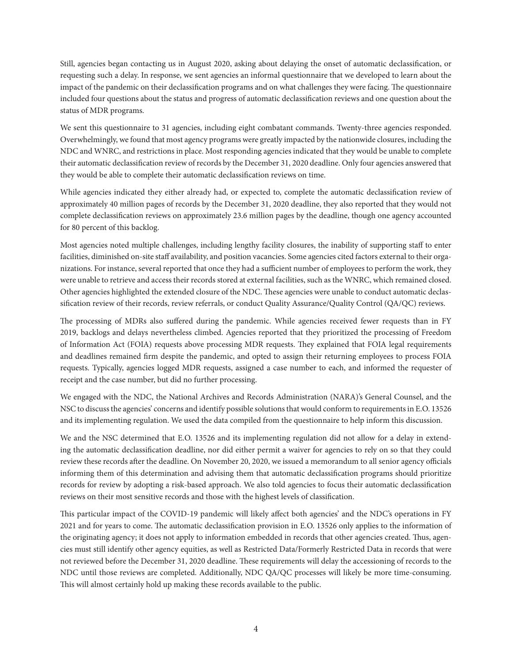Still, agencies began contacting us in August 2020, asking about delaying the onset of automatic declassification, or requesting such a delay. In response, we sent agencies an informal questionnaire that we developed to learn about the impact of the pandemic on their declassification programs and on what challenges they were facing. The questionnaire included four questions about the status and progress of automatic declassification reviews and one question about the status of MDR programs.

We sent this questionnaire to 31 agencies, including eight combatant commands. Twenty-three agencies responded. Overwhelmingly, we found that most agency programs were greatly impacted by the nationwide closures, including the NDC and WNRC, and restrictions in place. Most responding agencies indicated that they would be unable to complete their automatic declassification review of records by the December 31, 2020 deadline. Only four agencies answered that they would be able to complete their automatic declassification reviews on time.

While agencies indicated they either already had, or expected to, complete the automatic declassification review of approximately 40 million pages of records by the December 31, 2020 deadline, they also reported that they would not complete declassification reviews on approximately 23.6 million pages by the deadline, though one agency accounted for 80 percent of this backlog.

Most agencies noted multiple challenges, including lengthy facility closures, the inability of supporting staff to enter facilities, diminished on-site staff availability, and position vacancies. Some agencies cited factors external to their organizations. For instance, several reported that once they had a sufficient number of employees to perform the work, they were unable to retrieve and access their records stored at external facilities, such as the WNRC, which remained closed. Other agencies highlighted the extended closure of the NDC. These agencies were unable to conduct automatic declassification review of their records, review referrals, or conduct Quality Assurance/Quality Control (QA/QC) reviews.

The processing of MDRs also suffered during the pandemic. While agencies received fewer requests than in FY 2019, backlogs and delays nevertheless climbed. Agencies reported that they prioritized the processing of Freedom of Information Act (FOIA) requests above processing MDR requests. They explained that FOIA legal requirements and deadlines remained firm despite the pandemic, and opted to assign their returning employees to process FOIA requests. Typically, agencies logged MDR requests, assigned a case number to each, and informed the requester of receipt and the case number, but did no further processing.

We engaged with the NDC, the National Archives and Records Administration (NARA)'s General Counsel, and the NSC to discuss the agencies' concerns and identify possible solutions that would conform to requirements in E.O. 13526 and its implementing regulation. We used the data compiled from the questionnaire to help inform this discussion.

We and the NSC determined that E.O. 13526 and its implementing regulation did not allow for a delay in extending the automatic declassification deadline, nor did either permit a waiver for agencies to rely on so that they could review these records after the deadline. On November 20, 2020, we issued a memorandum to all senior agency officials informing them of this determination and advising them that automatic declassification programs should prioritize records for review by adopting a risk-based approach. We also told agencies to focus their automatic declassification reviews on their most sensitive records and those with the highest levels of classification.

This particular impact of the COVID-19 pandemic will likely affect both agencies' and the NDC's operations in FY 2021 and for years to come. The automatic declassification provision in E.O. 13526 only applies to the information of the originating agency; it does not apply to information embedded in records that other agencies created. Thus, agencies must still identify other agency equities, as well as Restricted Data/Formerly Restricted Data in records that were not reviewed before the December 31, 2020 deadline. These requirements will delay the accessioning of records to the NDC until those reviews are completed. Additionally, NDC QA/QC processes will likely be more time-consuming. This will almost certainly hold up making these records available to the public.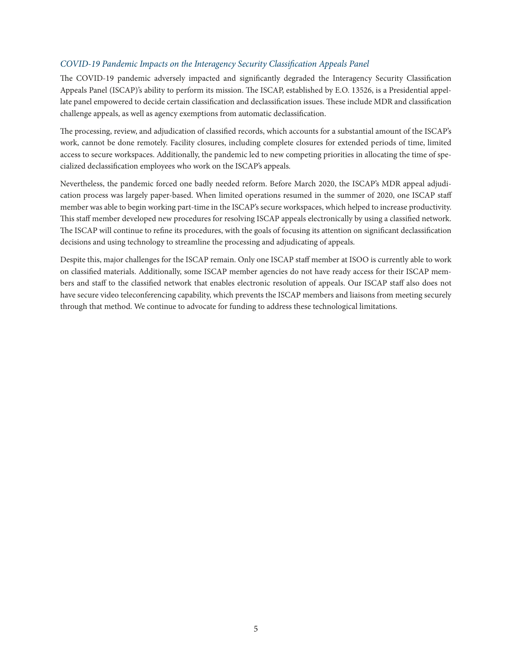#### *COVID-19 Pandemic Impacts on the Interagency Security Classification Appeals Panel*

The COVID-19 pandemic adversely impacted and significantly degraded the Interagency Security Classification Appeals Panel (ISCAP)'s ability to perform its mission. The ISCAP, established by E.O. 13526, is a Presidential appellate panel empowered to decide certain classification and declassification issues. These include MDR and classification challenge appeals, as well as agency exemptions from automatic declassification.

The processing, review, and adjudication of classified records, which accounts for a substantial amount of the ISCAP's work, cannot be done remotely. Facility closures, including complete closures for extended periods of time, limited access to secure workspaces. Additionally, the pandemic led to new competing priorities in allocating the time of specialized declassification employees who work on the ISCAP's appeals.

Nevertheless, the pandemic forced one badly needed reform. Before March 2020, the ISCAP's MDR appeal adjudication process was largely paper-based. When limited operations resumed in the summer of 2020, one ISCAP staff member was able to begin working part-time in the ISCAP's secure workspaces, which helped to increase productivity. This staff member developed new procedures for resolving ISCAP appeals electronically by using a classified network. The ISCAP will continue to refine its procedures, with the goals of focusing its attention on significant declassification decisions and using technology to streamline the processing and adjudicating of appeals.

Despite this, major challenges for the ISCAP remain. Only one ISCAP staff member at ISOO is currently able to work on classified materials. Additionally, some ISCAP member agencies do not have ready access for their ISCAP members and staff to the classified network that enables electronic resolution of appeals. Our ISCAP staff also does not have secure video teleconferencing capability, which prevents the ISCAP members and liaisons from meeting securely through that method. We continue to advocate for funding to address these technological limitations.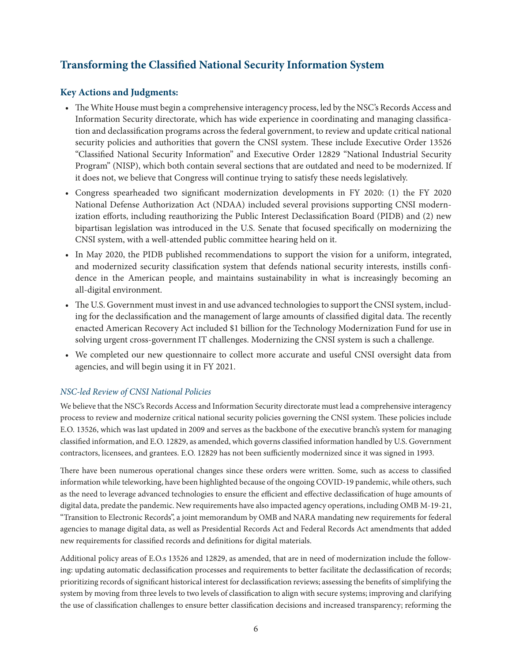## <span id="page-12-0"></span>**Transforming the Classified National Security Information System**

#### **Key Actions and Judgments:**

- The White House must begin a comprehensive interagency process, led by the NSC's Records Access and Information Security directorate, which has wide experience in coordinating and managing classification and declassification programs across the federal government, to review and update critical national security policies and authorities that govern the CNSI system. These include Executive Order 13526 "Classified National Security Information" and Executive Order 12829 "National Industrial Security Program" (NISP), which both contain several sections that are outdated and need to be modernized. If it does not, we believe that Congress will continue trying to satisfy these needs legislatively.
- Congress spearheaded two significant modernization developments in FY 2020: (1) the FY 2020 National Defense Authorization Act (NDAA) included several provisions supporting CNSI modernization efforts, including reauthorizing the Public Interest Declassification Board (PIDB) and (2) new bipartisan legislation was introduced in the U.S. Senate that focused specifically on modernizing the CNSI system, with a well-attended public committee hearing held on it.
- In May 2020, the PIDB published recommendations to support the vision for a uniform, integrated, and modernized security classification system that defends national security interests, instills confidence in the American people, and maintains sustainability in what is increasingly becoming an all-digital environment.
- The U.S. Government must invest in and use advanced technologies to support the CNSI system, including for the declassification and the management of large amounts of classified digital data. The recently enacted American Recovery Act included \$1 billion for the Technology Modernization Fund for use in solving urgent cross-government IT challenges. Modernizing the CNSI system is such a challenge.
- We completed our new questionnaire to collect more accurate and useful CNSI oversight data from agencies, and will begin using it in FY 2021.

#### *NSC-led Review of CNSI National Policies*

We believe that the NSC's Records Access and Information Security directorate must lead a comprehensive interagency process to review and modernize critical national security policies governing the CNSI system. These policies include E.O. 13526, which was last updated in 2009 and serves as the backbone of the executive branch's system for managing classified information, and E.O. 12829, as amended, which governs classified information handled by U.S. Government contractors, licensees, and grantees. E.O. 12829 has not been sufficiently modernized since it was signed in 1993.

There have been numerous operational changes since these orders were written. Some, such as access to classified information while teleworking, have been highlighted because of the ongoing COVID-19 pandemic, while others, such as the need to leverage advanced technologies to ensure the efficient and effective declassification of huge amounts of digital data, predate the pandemic. New requirements have also impacted agency operations, including OMB M-19-21, "Transition to Electronic Records", a joint memorandum by OMB and NARA mandating new requirements for federal agencies to manage digital data, as well as Presidential Records Act and Federal Records Act amendments that added new requirements for classified records and definitions for digital materials.

Additional policy areas of E.O.s 13526 and 12829, as amended, that are in need of modernization include the following: updating automatic declassification processes and requirements to better facilitate the declassification of records; prioritizing records of significant historical interest for declassification reviews; assessing the benefits of simplifying the system by moving from three levels to two levels of classification to align with secure systems; improving and clarifying the use of classification challenges to ensure better classification decisions and increased transparency; reforming the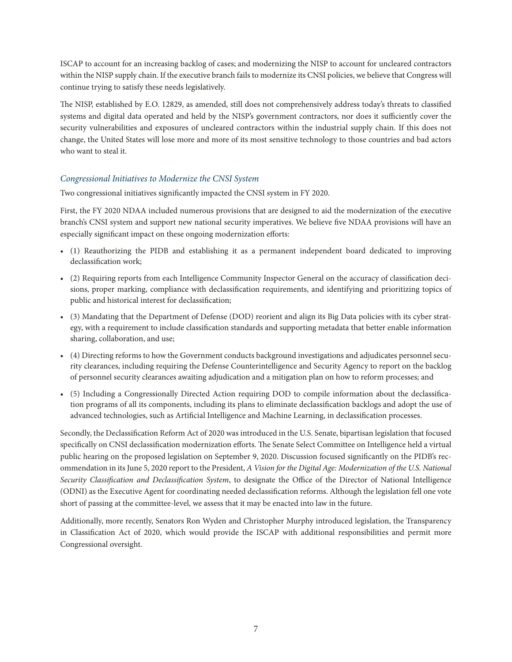ISCAP to account for an increasing backlog of cases; and modernizing the NISP to account for uncleared contractors within the NISP supply chain. If the executive branch fails to modernize its CNSI policies, we believe that Congress will continue trying to satisfy these needs legislatively.

The NISP, established by E.O. 12829, as amended, still does not comprehensively address today's threats to classified systems and digital data operated and held by the NISP's government contractors, nor does it sufficiently cover the security vulnerabilities and exposures of uncleared contractors within the industrial supply chain. If this does not change, the United States will lose more and more of its most sensitive technology to those countries and bad actors who want to steal it.

#### *Congressional Initiatives to Modernize the CNSI System*

Two congressional initiatives significantly impacted the CNSI system in FY 2020.

First, the FY 2020 NDAA included numerous provisions that are designed to aid the modernization of the executive branch's CNSI system and support new national security imperatives. We believe five NDAA provisions will have an especially significant impact on these ongoing modernization efforts:

- (1) Reauthorizing the PIDB and establishing it as a permanent independent board dedicated to improving declassification work;
- (2) Requiring reports from each Intelligence Community Inspector General on the accuracy of classification decisions, proper marking, compliance with declassification requirements, and identifying and prioritizing topics of public and historical interest for declassification;
- (3) Mandating that the Department of Defense (DOD) reorient and align its Big Data policies with its cyber strategy, with a requirement to include classification standards and supporting metadata that better enable information sharing, collaboration, and use;
- (4) Directing reforms to how the Government conducts background investigations and adjudicates personnel security clearances, including requiring the Defense Counterintelligence and Security Agency to report on the backlog of personnel security clearances awaiting adjudication and a mitigation plan on how to reform processes; and
- (5) Including a Congressionally Directed Action requiring DOD to compile information about the declassification programs of all its components, including its plans to eliminate declassification backlogs and adopt the use of advanced technologies, such as Artificial Intelligence and Machine Learning, in declassification processes.

Secondly, the Declassification Reform Act of 2020 was introduced in the U.S. Senate, bipartisan legislation that focused specifically on CNSI declassification modernization efforts. The Senate Select Committee on Intelligence held a virtual public hearing on the proposed legislation on September 9, 2020. Discussion focused significantly on the PIDB's recommendation in its June 5, 2020 report to the President, *A Vision for the Digital Age: Modernization of the U.S. National Security Classification and Declassification System*, to designate the Office of the Director of National Intelligence (ODNI) as the Executive Agent for coordinating needed declassification reforms. Although the legislation fell one vote short of passing at the committee-level, we assess that it may be enacted into law in the future.

Additionally, more recently, Senators Ron Wyden and Christopher Murphy introduced legislation, the Transparency in Classification Act of 2020, which would provide the ISCAP with additional responsibilities and permit more Congressional oversight.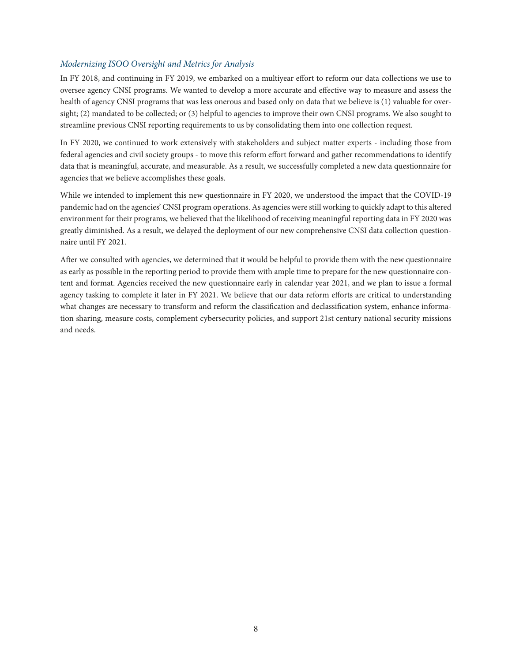#### *Modernizing ISOO Oversight and Metrics for Analysis*

In FY 2018, and continuing in FY 2019, we embarked on a multiyear effort to reform our data collections we use to oversee agency CNSI programs. We wanted to develop a more accurate and effective way to measure and assess the health of agency CNSI programs that was less onerous and based only on data that we believe is (1) valuable for oversight; (2) mandated to be collected; or (3) helpful to agencies to improve their own CNSI programs. We also sought to streamline previous CNSI reporting requirements to us by consolidating them into one collection request.

In FY 2020, we continued to work extensively with stakeholders and subject matter experts - including those from federal agencies and civil society groups - to move this reform effort forward and gather recommendations to identify data that is meaningful, accurate, and measurable. As a result, we successfully completed a new data questionnaire for agencies that we believe accomplishes these goals.

While we intended to implement this new questionnaire in FY 2020, we understood the impact that the COVID-19 pandemic had on the agencies' CNSI program operations. As agencies were still working to quickly adapt to this altered environment for their programs, we believed that the likelihood of receiving meaningful reporting data in FY 2020 was greatly diminished. As a result, we delayed the deployment of our new comprehensive CNSI data collection questionnaire until FY 2021.

After we consulted with agencies, we determined that it would be helpful to provide them with the new questionnaire as early as possible in the reporting period to provide them with ample time to prepare for the new questionnaire content and format. Agencies received the new questionnaire early in calendar year 2021, and we plan to issue a formal agency tasking to complete it later in FY 2021. We believe that our data reform efforts are critical to understanding what changes are necessary to transform and reform the classification and declassification system, enhance information sharing, measure costs, complement cybersecurity policies, and support 21st century national security missions and needs.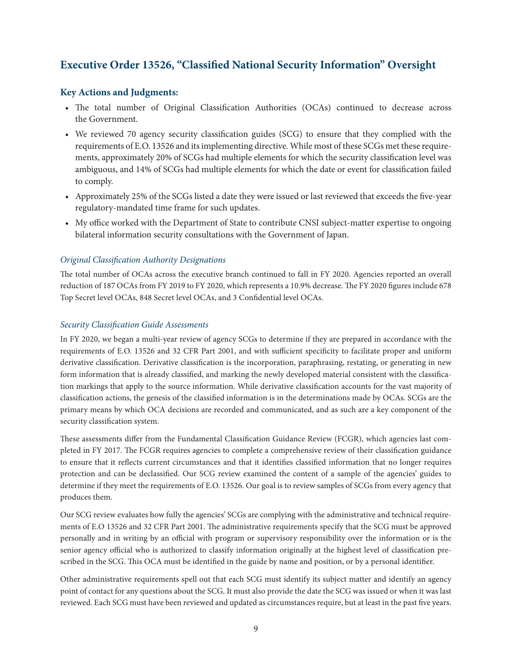## <span id="page-15-0"></span>**Executive Order 13526, "Classified National Security Information" Oversight**

#### **Key Actions and Judgments:**

- The total number of Original Classification Authorities (OCAs) continued to decrease across the Government.
- We reviewed 70 agency security classification guides (SCG) to ensure that they complied with the requirements of E.O. 13526 and its implementing directive. While most of these SCGs met these requirements, approximately 20% of SCGs had multiple elements for which the security classification level was ambiguous, and 14% of SCGs had multiple elements for which the date or event for classification failed to comply.
- Approximately 25% of the SCGs listed a date they were issued or last reviewed that exceeds the five-year regulatory-mandated time frame for such updates.
- My office worked with the Department of State to contribute CNSI subject-matter expertise to ongoing bilateral information security consultations with the Government of Japan.

#### *Original Classification Authority Designations*

The total number of OCAs across the executive branch continued to fall in FY 2020. Agencies reported an overall reduction of 187 OCAs from FY 2019 to FY 2020, which represents a 10.9% decrease. The FY 2020 figures include 678 Top Secret level OCAs, 848 Secret level OCAs, and 3 Confidential level OCAs.

#### *Security Classification Guide Assessments*

In FY 2020, we began a multi-year review of agency SCGs to determine if they are prepared in accordance with the requirements of E.O. 13526 and 32 CFR Part 2001, and with sufficient specificity to facilitate proper and uniform derivative classification. Derivative classification is the incorporation, paraphrasing, restating, or generating in new form information that is already classified, and marking the newly developed material consistent with the classification markings that apply to the source information. While derivative classification accounts for the vast majority of classification actions, the genesis of the classified information is in the determinations made by OCAs. SCGs are the primary means by which OCA decisions are recorded and communicated, and as such are a key component of the security classification system.

These assessments differ from the Fundamental Classification Guidance Review (FCGR), which agencies last completed in FY 2017. The FCGR requires agencies to complete a comprehensive review of their classification guidance to ensure that it reflects current circumstances and that it identifies classified information that no longer requires protection and can be declassified. Our SCG review examined the content of a sample of the agencies' guides to determine if they meet the requirements of E.O. 13526. Our goal is to review samples of SCGs from every agency that produces them.

Our SCG review evaluates how fully the agencies' SCGs are complying with the administrative and technical requirements of E.O 13526 and 32 CFR Part 2001. The administrative requirements specify that the SCG must be approved personally and in writing by an official with program or supervisory responsibility over the information or is the senior agency official who is authorized to classify information originally at the highest level of classification prescribed in the SCG. This OCA must be identified in the guide by name and position, or by a personal identifier.

Other administrative requirements spell out that each SCG must identify its subject matter and identify an agency point of contact for any questions about the SCG. It must also provide the date the SCG was issued or when it was last reviewed. Each SCG must have been reviewed and updated as circumstances require, but at least in the past five years.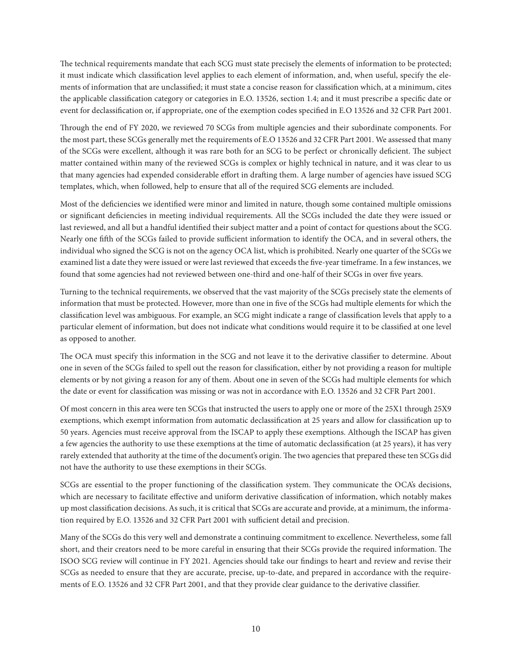The technical requirements mandate that each SCG must state precisely the elements of information to be protected; it must indicate which classification level applies to each element of information, and, when useful, specify the elements of information that are unclassified; it must state a concise reason for classification which, at a minimum, cites the applicable classification category or categories in E.O. 13526, section 1.4; and it must prescribe a specific date or event for declassification or, if appropriate, one of the exemption codes specified in E.O 13526 and 32 CFR Part 2001.

Through the end of FY 2020, we reviewed 70 SCGs from multiple agencies and their subordinate components. For the most part, these SCGs generally met the requirements of E.O 13526 and 32 CFR Part 2001. We assessed that many of the SCGs were excellent, although it was rare both for an SCG to be perfect or chronically deficient. The subject matter contained within many of the reviewed SCGs is complex or highly technical in nature, and it was clear to us that many agencies had expended considerable effort in drafting them. A large number of agencies have issued SCG templates, which, when followed, help to ensure that all of the required SCG elements are included.

Most of the deficiencies we identified were minor and limited in nature, though some contained multiple omissions or significant deficiencies in meeting individual requirements. All the SCGs included the date they were issued or last reviewed, and all but a handful identified their subject matter and a point of contact for questions about the SCG. Nearly one fifth of the SCGs failed to provide sufficient information to identify the OCA, and in several others, the individual who signed the SCG is not on the agency OCA list, which is prohibited. Nearly one quarter of the SCGs we examined list a date they were issued or were last reviewed that exceeds the five-year timeframe. In a few instances, we found that some agencies had not reviewed between one-third and one-half of their SCGs in over five years.

Turning to the technical requirements, we observed that the vast majority of the SCGs precisely state the elements of information that must be protected. However, more than one in five of the SCGs had multiple elements for which the classification level was ambiguous. For example, an SCG might indicate a range of classification levels that apply to a particular element of information, but does not indicate what conditions would require it to be classified at one level as opposed to another.

The OCA must specify this information in the SCG and not leave it to the derivative classifier to determine. About one in seven of the SCGs failed to spell out the reason for classification, either by not providing a reason for multiple elements or by not giving a reason for any of them. About one in seven of the SCGs had multiple elements for which the date or event for classification was missing or was not in accordance with E.O. 13526 and 32 CFR Part 2001.

Of most concern in this area were ten SCGs that instructed the users to apply one or more of the 25X1 through 25X9 exemptions, which exempt information from automatic declassification at 25 years and allow for classification up to 50 years. Agencies must receive approval from the ISCAP to apply these exemptions. Although the ISCAP has given a few agencies the authority to use these exemptions at the time of automatic declassification (at 25 years), it has very rarely extended that authority at the time of the document's origin. The two agencies that prepared these ten SCGs did not have the authority to use these exemptions in their SCGs.

SCGs are essential to the proper functioning of the classification system. They communicate the OCA's decisions, which are necessary to facilitate effective and uniform derivative classification of information, which notably makes up most classification decisions. As such, it is critical that SCGs are accurate and provide, at a minimum, the information required by E.O. 13526 and 32 CFR Part 2001 with sufficient detail and precision.

Many of the SCGs do this very well and demonstrate a continuing commitment to excellence. Nevertheless, some fall short, and their creators need to be more careful in ensuring that their SCGs provide the required information. The ISOO SCG review will continue in FY 2021. Agencies should take our findings to heart and review and revise their SCGs as needed to ensure that they are accurate, precise, up-to-date, and prepared in accordance with the requirements of E.O. 13526 and 32 CFR Part 2001, and that they provide clear guidance to the derivative classifier.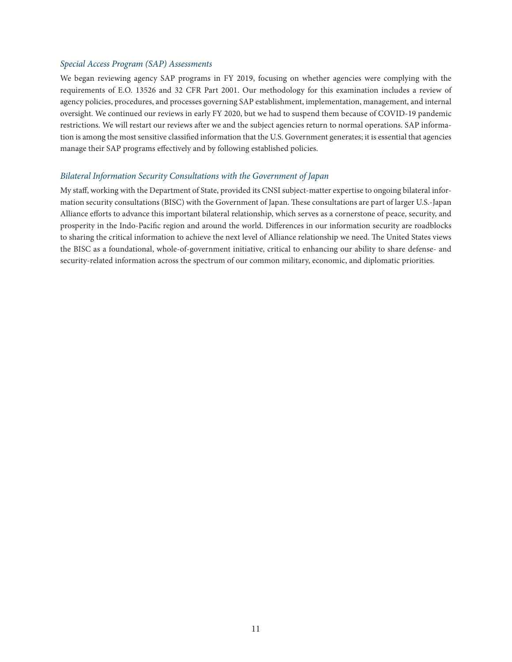#### *Special Access Program (SAP) Assessments*

We began reviewing agency SAP programs in FY 2019, focusing on whether agencies were complying with the requirements of E.O. 13526 and 32 CFR Part 2001. Our methodology for this examination includes a review of agency policies, procedures, and processes governing SAP establishment, implementation, management, and internal oversight. We continued our reviews in early FY 2020, but we had to suspend them because of COVID-19 pandemic restrictions. We will restart our reviews after we and the subject agencies return to normal operations. SAP information is among the most sensitive classified information that the U.S. Government generates; it is essential that agencies manage their SAP programs effectively and by following established policies.

#### *Bilateral Information Security Consultations with the Government of Japan*

My staff, working with the Department of State, provided its CNSI subject-matter expertise to ongoing bilateral information security consultations (BISC) with the Government of Japan. These consultations are part of larger U.S.-Japan Alliance efforts to advance this important bilateral relationship, which serves as a cornerstone of peace, security, and prosperity in the Indo-Pacific region and around the world. Differences in our information security are roadblocks to sharing the critical information to achieve the next level of Alliance relationship we need. The United States views the BISC as a foundational, whole-of-government initiative, critical to enhancing our ability to share defense- and security-related information across the spectrum of our common military, economic, and diplomatic priorities.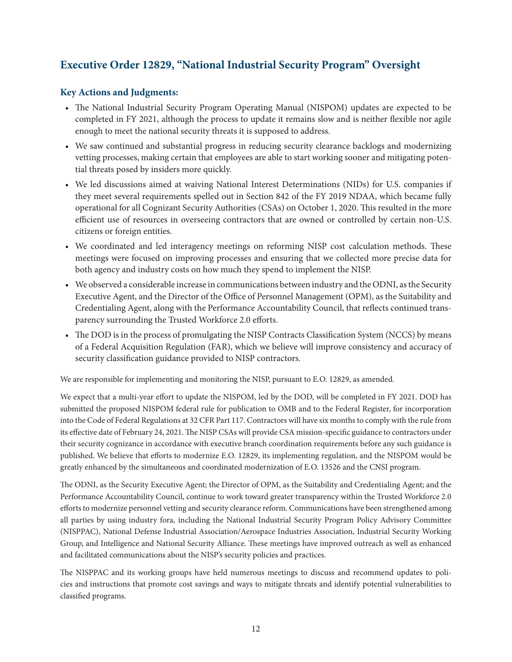## <span id="page-18-0"></span>**Executive Order 12829, "National Industrial Security Program" Oversight**

#### **Key Actions and Judgments:**

- The National Industrial Security Program Operating Manual (NISPOM) updates are expected to be completed in FY 2021, although the process to update it remains slow and is neither flexible nor agile enough to meet the national security threats it is supposed to address.
- We saw continued and substantial progress in reducing security clearance backlogs and modernizing vetting processes, making certain that employees are able to start working sooner and mitigating potential threats posed by insiders more quickly.
- We led discussions aimed at waiving National Interest Determinations (NIDs) for U.S. companies if they meet several requirements spelled out in Section 842 of the FY 2019 NDAA, which became fully operational for all Cognizant Security Authorities (CSAs) on October 1, 2020. This resulted in the more efficient use of resources in overseeing contractors that are owned or controlled by certain non-U.S. citizens or foreign entities.
- We coordinated and led interagency meetings on reforming NISP cost calculation methods. These meetings were focused on improving processes and ensuring that we collected more precise data for both agency and industry costs on how much they spend to implement the NISP.
- We observed a considerable increase in communications between industry and the ODNI, as the Security Executive Agent, and the Director of the Office of Personnel Management (OPM), as the Suitability and Credentialing Agent, along with the Performance Accountability Council, that reflects continued transparency surrounding the Trusted Workforce 2.0 efforts.
- The DOD is in the process of promulgating the NISP Contracts Classification System (NCCS) by means of a Federal Acquisition Regulation (FAR), which we believe will improve consistency and accuracy of security classification guidance provided to NISP contractors.

We are responsible for implementing and monitoring the NISP, pursuant to E.O. 12829, as amended.

We expect that a multi-year effort to update the NISPOM, led by the DOD, will be completed in FY 2021. DOD has submitted the proposed NISPOM federal rule for publication to OMB and to the Federal Register, for incorporation into the Code of Federal Regulations at 32 CFR Part 117. Contractors will have six months to comply with the rule from its effective date of February 24, 2021. The NISP CSAs will provide CSA mission-specific guidance to contractors under their security cognizance in accordance with executive branch coordination requirements before any such guidance is published. We believe that efforts to modernize E.O. 12829, its implementing regulation, and the NISPOM would be greatly enhanced by the simultaneous and coordinated modernization of E.O. 13526 and the CNSI program.

The ODNI, as the Security Executive Agent; the Director of OPM, as the Suitability and Credentialing Agent; and the Performance Accountability Council, continue to work toward greater transparency within the Trusted Workforce 2.0 efforts to modernize personnel vetting and security clearance reform. Communications have been strengthened among all parties by using industry fora, including the National Industrial Security Program Policy Advisory Committee (NISPPAC), National Defense Industrial Association/Aerospace Industries Association, Industrial Security Working Group, and Intelligence and National Security Alliance. These meetings have improved outreach as well as enhanced and facilitated communications about the NISP's security policies and practices.

The NISPPAC and its working groups have held numerous meetings to discuss and recommend updates to policies and instructions that promote cost savings and ways to mitigate threats and identify potential vulnerabilities to classified programs.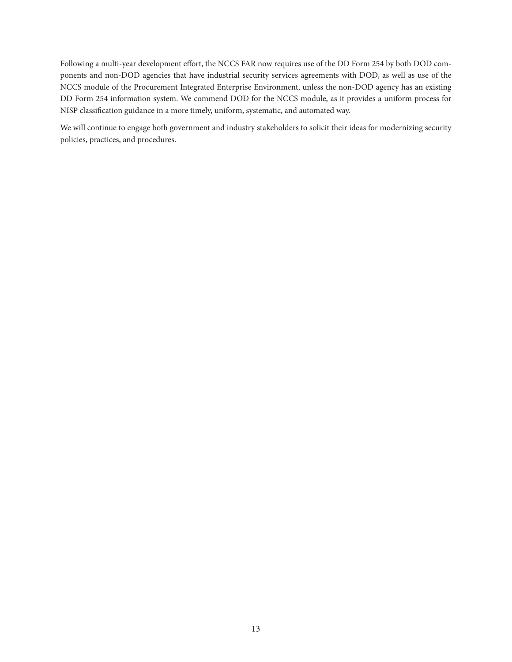Following a multi-year development effort, the NCCS FAR now requires use of the DD Form 254 by both DOD components and non-DOD agencies that have industrial security services agreements with DOD, as well as use of the NCCS module of the Procurement Integrated Enterprise Environment, unless the non-DOD agency has an existing DD Form 254 information system. We commend DOD for the NCCS module, as it provides a uniform process for NISP classification guidance in a more timely, uniform, systematic, and automated way.

We will continue to engage both government and industry stakeholders to solicit their ideas for modernizing security policies, practices, and procedures.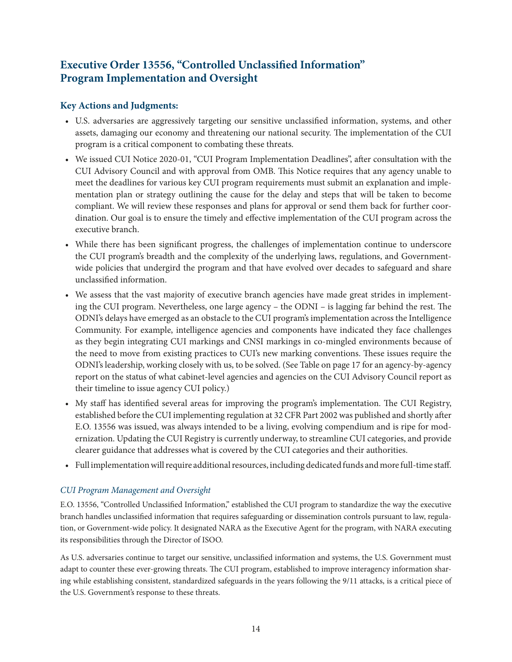## <span id="page-20-0"></span>**Executive Order 13556, "Controlled Unclassified Information" Program Implementation and Oversight**

#### **Key Actions and Judgments:**

- U.S. adversaries are aggressively targeting our sensitive unclassified information, systems, and other assets, damaging our economy and threatening our national security. The implementation of the CUI program is a critical component to combating these threats.
- We issued CUI Notice 2020-01, "CUI Program Implementation Deadlines", after consultation with the CUI Advisory Council and with approval from OMB. This Notice requires that any agency unable to meet the deadlines for various key CUI program requirements must submit an explanation and implementation plan or strategy outlining the cause for the delay and steps that will be taken to become compliant. We will review these responses and plans for approval or send them back for further coordination. Our goal is to ensure the timely and effective implementation of the CUI program across the executive branch.
- While there has been significant progress, the challenges of implementation continue to underscore the CUI program's breadth and the complexity of the underlying laws, regulations, and Governmentwide policies that undergird the program and that have evolved over decades to safeguard and share unclassified information.
- We assess that the vast majority of executive branch agencies have made great strides in implementing the CUI program. Nevertheless, one large agency – the ODNI – is lagging far behind the rest. The ODNI's delays have emerged as an obstacle to the CUI program's implementation across the Intelligence Community. For example, intelligence agencies and components have indicated they face challenges as they begin integrating CUI markings and CNSI markings in co-mingled environments because of the need to move from existing practices to CUI's new marking conventions. These issues require the ODNI's leadership, working closely with us, to be solved. (See Table on page 17 for an agency-by-agency report on the status of what cabinet-level agencies and agencies on the CUI Advisory Council report as their timeline to issue agency CUI policy.)
- My staff has identified several areas for improving the program's implementation. The CUI Registry, established before the CUI implementing regulation at 32 CFR Part 2002 was published and shortly after E.O. 13556 was issued, was always intended to be a living, evolving compendium and is ripe for modernization. Updating the CUI Registry is currently underway, to streamline CUI categories, and provide clearer guidance that addresses what is covered by the CUI categories and their authorities.
- Full implementation will require additional resources, including dedicated funds and more full-time staff.

#### *CUI Program Management and Oversight*

E.O. 13556, "Controlled Unclassified Information," established the CUI program to standardize the way the executive branch handles unclassified information that requires safeguarding or dissemination controls pursuant to law, regulation, or Government-wide policy. It designated NARA as the Executive Agent for the program, with NARA executing its responsibilities through the Director of ISOO.

As U.S. adversaries continue to target our sensitive, unclassified information and systems, the U.S. Government must adapt to counter these ever-growing threats. The CUI program, established to improve interagency information sharing while establishing consistent, standardized safeguards in the years following the 9/11 attacks, is a critical piece of the U.S. Government's response to these threats.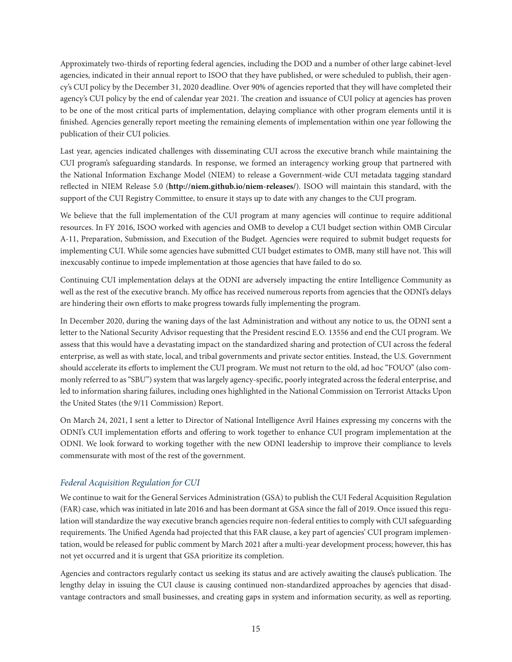Approximately two-thirds of reporting federal agencies, including the DOD and a number of other large cabinet-level agencies, indicated in their annual report to ISOO that they have published, or were scheduled to publish, their agency's CUI policy by the December 31, 2020 deadline. Over 90% of agencies reported that they will have completed their agency's CUI policy by the end of calendar year 2021. The creation and issuance of CUI policy at agencies has proven to be one of the most critical parts of implementation, delaying compliance with other program elements until it is finished. Agencies generally report meeting the remaining elements of implementation within one year following the publication of their CUI policies.

Last year, agencies indicated challenges with disseminating CUI across the executive branch while maintaining the CUI program's safeguarding standards. In response, we formed an interagency working group that partnered with the National Information Exchange Model (NIEM) to release a Government-wide CUI metadata tagging standard reflected in NIEM Release 5.0 (**<http://niem.github.io/niem-releases/>**). ISOO will maintain this standard, with the support of the CUI Registry Committee, to ensure it stays up to date with any changes to the CUI program.

We believe that the full implementation of the CUI program at many agencies will continue to require additional resources. In FY 2016, ISOO worked with agencies and OMB to develop a CUI budget section within OMB Circular A-11, Preparation, Submission, and Execution of the Budget. Agencies were required to submit budget requests for implementing CUI. While some agencies have submitted CUI budget estimates to OMB, many still have not. This will inexcusably continue to impede implementation at those agencies that have failed to do so.

Continuing CUI implementation delays at the ODNI are adversely impacting the entire Intelligence Community as well as the rest of the executive branch. My office has received numerous reports from agencies that the ODNI's delays are hindering their own efforts to make progress towards fully implementing the program.

In December 2020, during the waning days of the last Administration and without any notice to us, the ODNI sent a letter to the National Security Advisor requesting that the President rescind E.O. 13556 and end the CUI program. We assess that this would have a devastating impact on the standardized sharing and protection of CUI across the federal enterprise, as well as with state, local, and tribal governments and private sector entities. Instead, the U.S. Government should accelerate its efforts to implement the CUI program. We must not return to the old, ad hoc "FOUO" (also commonly referred to as "SBU") system that was largely agency-specific, poorly integrated across the federal enterprise, and led to information sharing failures, including ones highlighted in the National Commission on Terrorist Attacks Upon the United States (the 9/11 Commission) Report.

On March 24, 2021, I sent a letter to Director of National Intelligence Avril Haines expressing my concerns with the ODNI's CUI implementation efforts and offering to work together to enhance CUI program implementation at the ODNI. We look forward to working together with the new ODNI leadership to improve their compliance to levels commensurate with most of the rest of the government.

#### *Federal Acquisition Regulation for CUI*

We continue to wait for the General Services Administration (GSA) to publish the CUI Federal Acquisition Regulation (FAR) case, which was initiated in late 2016 and has been dormant at GSA since the fall of 2019. Once issued this regulation will standardize the way executive branch agencies require non-federal entities to comply with CUI safeguarding requirements. The Unified Agenda had projected that this FAR clause, a key part of agencies' CUI program implementation, would be released for public comment by March 2021 after a multi-year development process; however, this has not yet occurred and it is urgent that GSA prioritize its completion.

Agencies and contractors regularly contact us seeking its status and are actively awaiting the clause's publication. The lengthy delay in issuing the CUI clause is causing continued non-standardized approaches by agencies that disadvantage contractors and small businesses, and creating gaps in system and information security, as well as reporting.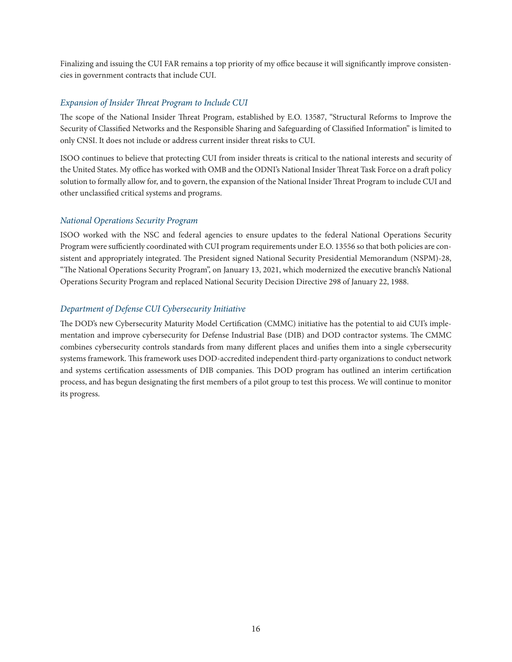Finalizing and issuing the CUI FAR remains a top priority of my office because it will significantly improve consistencies in government contracts that include CUI.

#### *Expansion of Insider Threat Program to Include CUI*

The scope of the National Insider Threat Program, established by E.O. 13587, "Structural Reforms to Improve the Security of Classified Networks and the Responsible Sharing and Safeguarding of Classified Information" is limited to only CNSI. It does not include or address current insider threat risks to CUI.

ISOO continues to believe that protecting CUI from insider threats is critical to the national interests and security of the United States. My office has worked with OMB and the ODNI's National Insider Threat Task Force on a draft policy solution to formally allow for, and to govern, the expansion of the National Insider Threat Program to include CUI and other unclassified critical systems and programs.

#### *National Operations Security Program*

ISOO worked with the NSC and federal agencies to ensure updates to the federal National Operations Security Program were sufficiently coordinated with CUI program requirements under E.O. 13556 so that both policies are consistent and appropriately integrated. The President signed National Security Presidential Memorandum (NSPM)-28, "The National Operations Security Program", on January 13, 2021, which modernized the executive branch's National Operations Security Program and replaced National Security Decision Directive 298 of January 22, 1988.

#### *Department of Defense CUI Cybersecurity Initiative*

The DOD's new Cybersecurity Maturity Model Certification (CMMC) initiative has the potential to aid CUI's implementation and improve cybersecurity for Defense Industrial Base (DIB) and DOD contractor systems. The CMMC combines cybersecurity controls standards from many different places and unifies them into a single cybersecurity systems framework. This framework uses DOD-accredited independent third-party organizations to conduct network and systems certification assessments of DIB companies. This DOD program has outlined an interim certification process, and has begun designating the first members of a pilot group to test this process. We will continue to monitor its progress.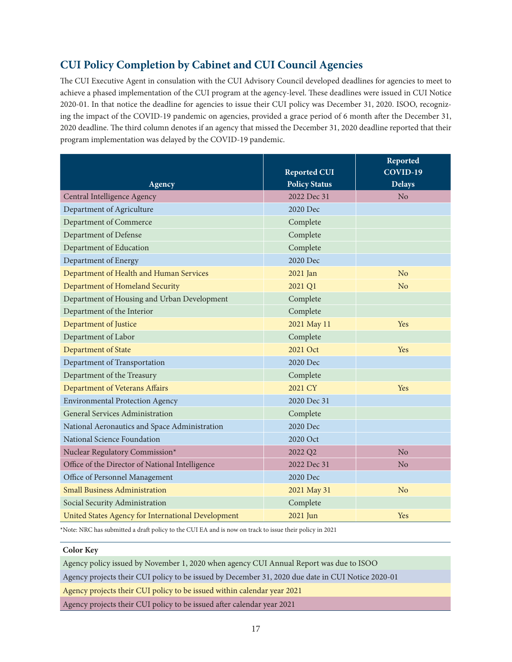## **CUI Policy Completion by Cabinet and CUI Council Agencies**

The CUI Executive Agent in consulation with the CUI Advisory Council developed deadlines for agencies to meet to achieve a phased implementation of the CUI program at the agency-level. These deadlines were issued in CUI Notice 2020-01. In that notice the deadline for agencies to issue their CUI policy was December 31, 2020. ISOO, recognizing the impact of the COVID-19 pandemic on agencies, provided a grace period of 6 month after the December 31, 2020 deadline. The third column denotes if an agency that missed the December 31, 2020 deadline reported that their program implementation was delayed by the COVID-19 pandemic.

|                                                    |                      | Reported       |
|----------------------------------------------------|----------------------|----------------|
|                                                    | <b>Reported CUI</b>  | COVID-19       |
| Agency                                             | <b>Policy Status</b> | <b>Delays</b>  |
| Central Intelligence Agency                        | 2022 Dec 31          | N <sub>o</sub> |
| Department of Agriculture                          | 2020 Dec             |                |
| Department of Commerce                             | Complete             |                |
| Department of Defense                              | Complete             |                |
| Department of Education                            | Complete             |                |
| Department of Energy                               | 2020 Dec             |                |
| Department of Health and Human Services            | 2021 Jan             | N <sub>o</sub> |
| Department of Homeland Security                    | 2021 Q1              | N <sub>o</sub> |
| Department of Housing and Urban Development        | Complete             |                |
| Department of the Interior                         | Complete             |                |
| Department of Justice                              | 2021 May 11          | Yes            |
| Department of Labor                                | Complete             |                |
| Department of State                                | 2021 Oct             | Yes            |
| Department of Transportation                       | 2020 Dec             |                |
| Department of the Treasury                         | Complete             |                |
| Department of Veterans Affairs                     | 2021 CY              | Yes            |
| <b>Environmental Protection Agency</b>             | 2020 Dec 31          |                |
| General Services Administration                    | Complete             |                |
| National Aeronautics and Space Administration      | 2020 Dec             |                |
| National Science Foundation                        | 2020 Oct             |                |
| Nuclear Regulatory Commission*                     | 2022 Q2              | N <sub>o</sub> |
| Office of the Director of National Intelligence    | 2022 Dec 31          | No             |
| Office of Personnel Management                     | 2020 Dec             |                |
| <b>Small Business Administration</b>               | 2021 May 31          | N <sub>o</sub> |
| Social Security Administration                     | Complete             |                |
| United States Agency for International Development | 2021 Jun             | Yes            |

\*Note: NRC has submitted a draft policy to the CUI EA and is now on track to issue their policy in 2021

#### **Color Key**

Agency policy issued by November 1, 2020 when agency CUI Annual Report was due to ISOO

Agency projects their CUI policy to be issued by December 31, 2020 due date in CUI Notice 2020-01

Agency projects their CUI policy to be issued within calendar year 2021

Agency projects their CUI policy to be issued after calendar year 2021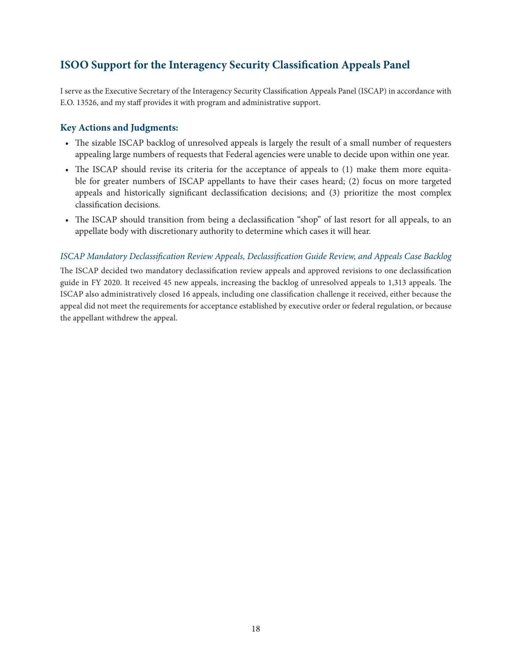## <span id="page-24-0"></span>**ISOO Support for the Interagency Security Classification Appeals Panel**

I serve as the Executive Secretary of the Interagency Security Classification Appeals Panel (ISCAP) in accordance with E.O. 13526, and my staff provides it with program and administrative support.

#### **Key Actions and Judgments:**

- The sizable ISCAP backlog of unresolved appeals is largely the result of a small number of requesters appealing large numbers of requests that Federal agencies were unable to decide upon within one year.
- The ISCAP should revise its criteria for the acceptance of appeals to (1) make them more equitable for greater numbers of ISCAP appellants to have their cases heard; (2) focus on more targeted appeals and historically significant declassification decisions; and (3) prioritize the most complex classification decisions.
- The ISCAP should transition from being a declassification "shop" of last resort for all appeals, to an appellate body with discretionary authority to determine which cases it will hear.

#### *ISCAP Mandatory Declassification Review Appeals, Declassification Guide Review, and Appeals Case Backlog*

The ISCAP decided two mandatory declassification review appeals and approved revisions to one declassification guide in FY 2020. It received 45 new appeals, increasing the backlog of unresolved appeals to 1,313 appeals. The ISCAP also administratively closed 16 appeals, including one classification challenge it received, either because the appeal did not meet the requirements for acceptance established by executive order or federal regulation, or because the appellant withdrew the appeal.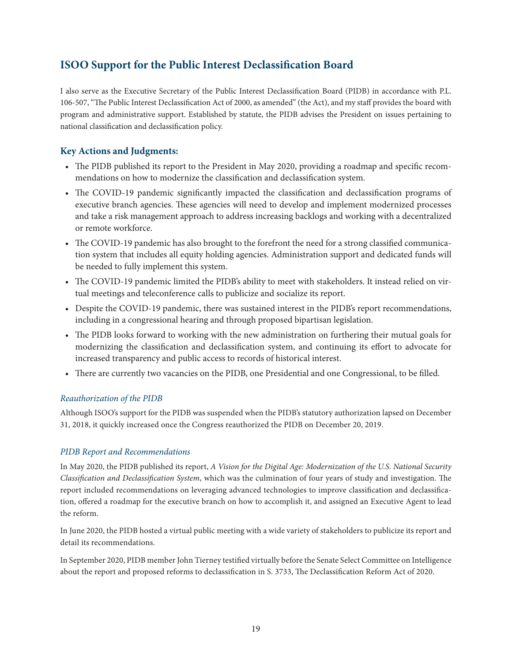## <span id="page-25-0"></span>**ISOO Support for the Public Interest Declassification Board**

I also serve as the Executive Secretary of the Public Interest Declassification Board (PIDB) in accordance with P.L. 106-507, "The Public Interest Declassification Act of 2000, as amended" (the Act), and my staff provides the board with program and administrative support. Established by statute, the PIDB advises the President on issues pertaining to national classification and declassification policy.

#### **Key Actions and Judgments:**

- The PIDB published its report to the President in May 2020, providing a roadmap and specific recommendations on how to modernize the classification and declassification system.
- The COVID-19 pandemic significantly impacted the classification and declassification programs of executive branch agencies. These agencies will need to develop and implement modernized processes and take a risk management approach to address increasing backlogs and working with a decentralized or remote workforce.
- The COVID-19 pandemic has also brought to the forefront the need for a strong classified communication system that includes all equity holding agencies. Administration support and dedicated funds will be needed to fully implement this system.
- The COVID-19 pandemic limited the PIDB's ability to meet with stakeholders. It instead relied on virtual meetings and teleconference calls to publicize and socialize its report.
- Despite the COVID-19 pandemic, there was sustained interest in the PIDB's report recommendations, including in a congressional hearing and through proposed bipartisan legislation.
- The PIDB looks forward to working with the new administration on furthering their mutual goals for modernizing the classification and declassification system, and continuing its effort to advocate for increased transparency and public access to records of historical interest.
- There are currently two vacancies on the PIDB, one Presidential and one Congressional, to be filled.

#### *Reauthorization of the PIDB*

Although ISOO's support for the PIDB was suspended when the PIDB's statutory authorization lapsed on December 31, 2018, it quickly increased once the Congress reauthorized the PIDB on December 20, 2019.

#### *PIDB Report and Recommendations*

In May 2020, the PIDB published its report, *A Vision for the Digital Age: Modernization of the U.S. National Security Classification and Declassification System*, which was the culmination of four years of study and investigation. The report included recommendations on leveraging advanced technologies to improve classification and declassification, offered a roadmap for the executive branch on how to accomplish it, and assigned an Executive Agent to lead the reform.

In June 2020, the PIDB hosted a virtual public meeting with a wide variety of stakeholders to publicize its report and detail its recommendations.

In September 2020, PIDB member John Tierney testified virtually before the Senate Select Committee on Intelligence about the report and proposed reforms to declassification in S. 3733, The Declassification Reform Act of 2020.